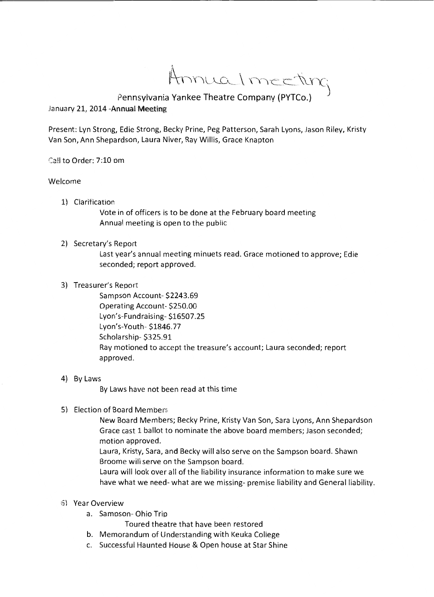Annualmecting

## Pennsylvania Yankee Theatre Company (PYTCo.) )

## January 21, 2014 -Annual Meeting

Present: Lyn Strong, Edie Strong, Becky Prine, Peg Patterson, Sarah Lyons, Jason Riley, Kristy Van Son, Ann Shepardson, Laura Niver, Ray Willis, Grace Knapton

Ca!! to Order: 7:10 om

## Welcome

1) Clarification

Vote in of officers is to be done at the February board meeting Annual meeting is open to the pubiic

2) Secretary's Report

Last year's annual meeting minuets read. Grace motioned to approve; Edie seconded; report approved.

3) Treasurer's Report

Sampson Account- \$2243.69 Operating Account- \$250.00 Lyon's-Fundraising- \$16507.25 Lyon's-Youth- \$1846.77 Scholarship- \$325.91 Ray motioned to accept the treasure's account; Laura seconded; report approved.

4) By Laws

By Laws have not been read at this time

5) Election of Board Members

New Board Members; Becky Prine, Kristy Van Son, Sara Lyons, Ann Shepardson Grace cast 1 ballot to nominate the above board members; Jason seconded; motion approved.

Laura, Kristy, Sara, and Becky will also serve on the Sampson board. Shawn Broome will serve on the Sampson board.

Laura will look over all of the liability insurance information to make sure we have what we need-what are we missing- premise liability and General liability.

- 6} Year Overview
	- a. Samoson- Ohio Trio

Toured theatre that have been restored

- b. Memorandum of Understanding with Keuka College
- c. Successful Haunted House & Open house at Star Shine